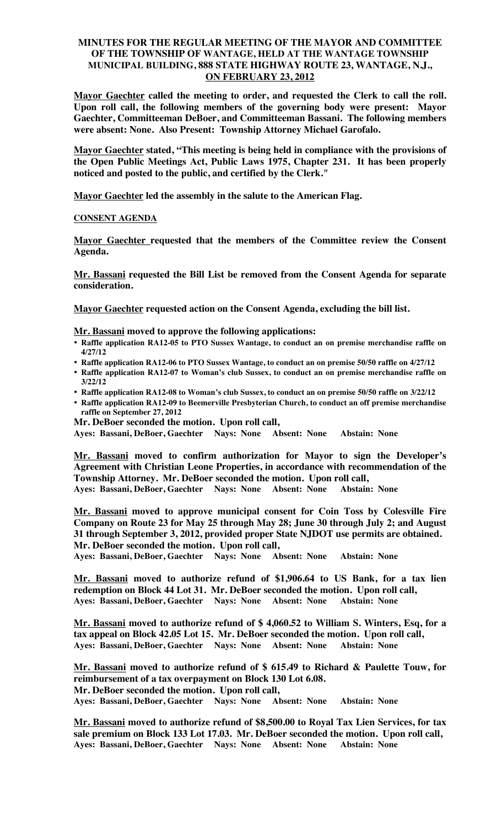# **MINUTES FOR THE REGULAR MEETING OF THE MAYOR AND COMMITTEE OF THE TOWNSHIP OF WANTAGE, HELD AT THE WANTAGE TOWNSHIP MUNICIPAL BUILDING, 888 STATE HIGHWAY ROUTE 23, WANTAGE, N.J., ON FEBRUARY 23, 2012**

**Mayor Gaechter called the meeting to order, and requested the Clerk to call the roll. Upon roll call, the following members of the governing body were present: Mayor Gaechter, Committeeman DeBoer, and Committeeman Bassani. The following members were absent: None. Also Present: Township Attorney Michael Garofalo.**

**Mayor Gaechter stated, "This meeting is being held in compliance with the provisions of the Open Public Meetings Act, Public Laws 1975, Chapter 231. It has been properly noticed and posted to the public, and certified by the Clerk."**

**Mayor Gaechter led the assembly in the salute to the American Flag.**

# **CONSENT AGENDA**

**Mayor Gaechter requested that the members of the Committee review the Consent Agenda.** 

**Mr. Bassani requested the Bill List be removed from the Consent Agenda for separate consideration.** 

**Mayor Gaechter requested action on the Consent Agenda, excluding the bill list.**

## **Mr. Bassani moved to approve the following applications:**

- **Raffle application RA12-05 to PTO Sussex Wantage, to conduct an on premise merchandise raffle on 4/27/12**
- **Raffle application RA12-06 to PTO Sussex Wantage, to conduct an on premise 50/50 raffle on 4/27/12**
- **Raffle application RA12-07 to Woman's club Sussex, to conduct an on premise merchandise raffle on 3/22/12**
- **Raffle application RA12-08 to Woman's club Sussex, to conduct an on premise 50/50 raffle on 3/22/12**
- **Raffle application RA12-09 to Beemerville Presbyterian Church, to conduct an off premise merchandise raffle on September 27, 2012**

**Mr. DeBoer seconded the motion. Upon roll call,**

**Ayes: Bassani, DeBoer, Gaechter Nays: None Absent: None Abstain: None**

**Mr. Bassani moved to confirm authorization for Mayor to sign the Developer's Agreement with Christian Leone Properties, in accordance with recommendation of the Township Attorney. Mr. DeBoer seconded the motion. Upon roll call,**

**Ayes: Bassani, DeBoer, Gaechter Nays: None Absent: None Abstain: None**

**Mr. Bassani moved to approve municipal consent for Coin Toss by Colesville Fire Company on Route 23 for May 25 through May 28; June 30 through July 2; and August 31 through September 3, 2012, provided proper State NJDOT use permits are obtained. Mr. DeBoer seconded the motion. Upon roll call,**

**Ayes: Bassani, DeBoer, Gaechter Nays: None Absent: None Abstain: None**

**Mr. Bassani moved to authorize refund of \$1,906.64 to US Bank, for a tax lien redemption on Block 44 Lot 31. Mr. DeBoer seconded the motion. Upon roll call, Ayes: Bassani, DeBoer, Gaechter Nays: None Absent: None Abstain: None**

**Mr. Bassani moved to authorize refund of \$ 4,060.52 to William S. Winters, Esq, for a tax appeal on Block 42.05 Lot 15. Mr. DeBoer seconded the motion. Upon roll call, Ayes: Bassani, DeBoer, Gaechter Nays: None Absent: None Abstain: None**

**Mr. Bassani moved to authorize refund of \$ 615.49 to Richard & Paulette Touw, for reimbursement of a tax overpayment on Block 130 Lot 6.08. Mr. DeBoer seconded the motion. Upon roll call, Ayes: Bassani, DeBoer, Gaechter Nays: None Absent: None Abstain: None**

**Mr. Bassani moved to authorize refund of \$8,500.00 to Royal Tax Lien Services, for tax sale premium on Block 133 Lot 17.03. Mr. DeBoer seconded the motion. Upon roll call, Ayes: Bassani, DeBoer, Gaechter Nays: None Absent: None Abstain: None**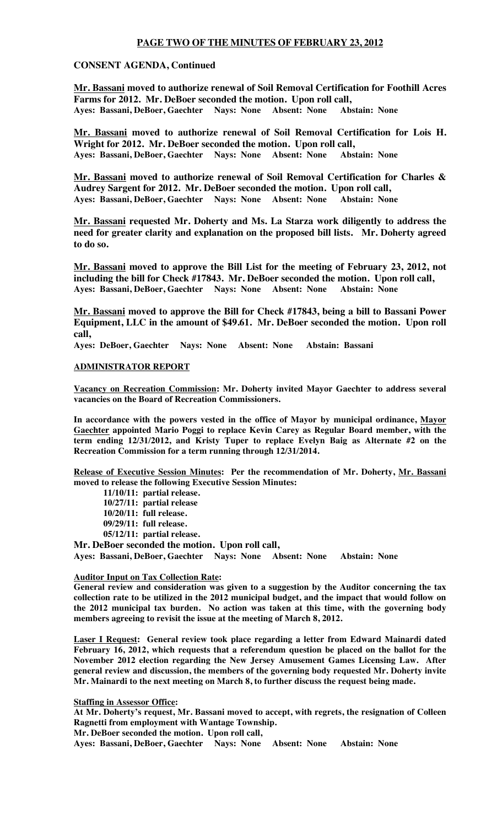## **PAGE TWO OF THE MINUTES OF FEBRUARY 23, 2012**

## **CONSENT AGENDA, Continued**

**Mr. Bassani moved to authorize renewal of Soil Removal Certification for Foothill Acres Farms for 2012. Mr. DeBoer seconded the motion. Upon roll call,** Ayes: Bassani, DeBoer, Gaechter Nays: None Absent: None

**Mr. Bassani moved to authorize renewal of Soil Removal Certification for Lois H. Wright for 2012. Mr. DeBoer seconded the motion. Upon roll call, Ayes: Bassani, DeBoer, Gaechter Nays: None Absent: None Abstain: None**

**Mr. Bassani moved to authorize renewal of Soil Removal Certification for Charles & Audrey Sargent for 2012. Mr. DeBoer seconded the motion. Upon roll call,** Ayes: Bassani, DeBoer, Gaechter Nays: None Absent: None

**Mr. Bassani requested Mr. Doherty and Ms. La Starza work diligently to address the need for greater clarity and explanation on the proposed bill lists. Mr. Doherty agreed to do so.**

**Mr. Bassani moved to approve the Bill List for the meeting of February 23, 2012, not including the bill for Check #17843. Mr. DeBoer seconded the motion. Upon roll call, Ayes: Bassani, DeBoer, Gaechter Nays: None Absent: None Abstain: None**

**Mr. Bassani moved to approve the Bill for Check #17843, being a bill to Bassani Power Equipment, LLC in the amount of \$49.61. Mr. DeBoer seconded the motion. Upon roll call,**

**Ayes: DeBoer, Gaechter Nays: None Absent: None Abstain: Bassani**

#### **ADMINISTRATOR REPORT**

**Vacancy on Recreation Commission: Mr. Doherty invited Mayor Gaechter to address several vacancies on the Board of Recreation Commissioners.**

**In accordance with the powers vested in the office of Mayor by municipal ordinance, Mayor Gaechter appointed Mario Poggi to replace Kevin Carey as Regular Board member, with the term ending 12/31/2012, and Kristy Tuper to replace Evelyn Baig as Alternate #2 on the Recreation Commission for a term running through 12/31/2014.**

**Release of Executive Session Minutes: Per the recommendation of Mr. Doherty, Mr. Bassani moved to release the following Executive Session Minutes:**

**11/10/11: partial release.**

**10/27/11: partial release**

**10/20/11: full release.**

**09/29/11: full release.**

**05/12/11: partial release.**

**Mr. DeBoer seconded the motion. Upon roll call,**

**Ayes: Bassani, DeBoer, Gaechter Nays: None Absent: None Abstain: None**

#### **Auditor Input on Tax Collection Rate:**

**General review and consideration was given to a suggestion by the Auditor concerning the tax collection rate to be utilized in the 2012 municipal budget, and the impact that would follow on the 2012 municipal tax burden. No action was taken at this time, with the governing body members agreeing to revisit the issue at the meeting of March 8, 2012.**

**Laser I Request: General review took place regarding a letter from Edward Mainardi dated February 16, 2012, which requests that a referendum question be placed on the ballot for the November 2012 election regarding the New Jersey Amusement Games Licensing Law. After general review and discussion, the members of the governing body requested Mr. Doherty invite Mr. Mainardi to the next meeting on March 8, to further discuss the request being made.**

**Staffing in Assessor Office:** 

**At Mr. Doherty's request, Mr. Bassani moved to accept, with regrets, the resignation of Colleen Ragnetti from employment with Wantage Township.** 

**Mr. DeBoer seconded the motion. Upon roll call,**

**Ayes: Bassani, DeBoer, Gaechter Nays: None Absent: None Abstain: None**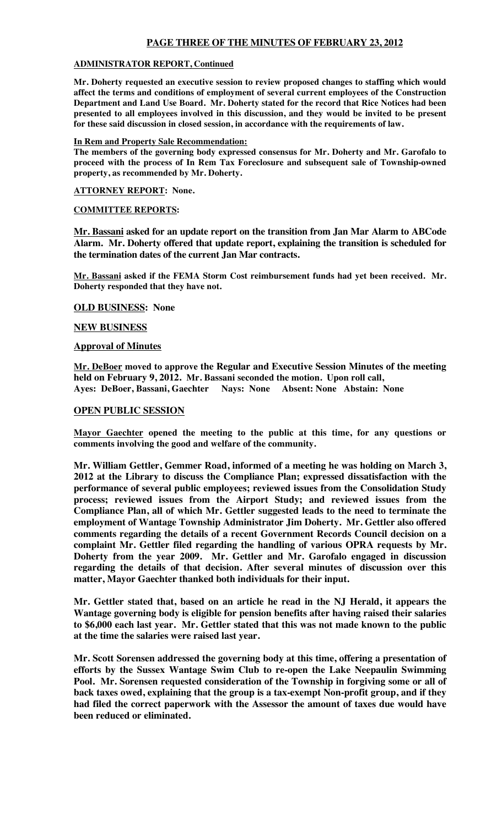# **PAGE THREE OF THE MINUTES OF FEBRUARY 23, 2012**

#### **ADMINISTRATOR REPORT, Continued**

**Mr. Doherty requested an executive session to review proposed changes to staffing which would affect the terms and conditions of employment of several current employees of the Construction Department and Land Use Board. Mr. Doherty stated for the record that Rice Notices had been presented to all employees involved in this discussion, and they would be invited to be present for these said discussion in closed session, in accordance with the requirements of law.**

## **In Rem and Property Sale Recommendation:**

**The members of the governing body expressed consensus for Mr. Doherty and Mr. Garofalo to proceed with the process of In Rem Tax Foreclosure and subsequent sale of Township-owned property, as recommended by Mr. Doherty.**

**ATTORNEY REPORT: None.**

## **COMMITTEE REPORTS:**

**Mr. Bassani asked for an update report on the transition from Jan Mar Alarm to ABCode Alarm. Mr. Doherty offered that update report, explaining the transition is scheduled for the termination dates of the current Jan Mar contracts.**

**Mr. Bassani asked if the FEMA Storm Cost reimbursement funds had yet been received. Mr. Doherty responded that they have not.**

#### **OLD BUSINESS: None**

## **NEW BUSINESS**

## **Approval of Minutes**

**Mr. DeBoer moved to approve the Regular and Executive Session Minutes of the meeting held on February 9, 2012. Mr. Bassani seconded the motion. Upon roll call, Ayes: DeBoer, Bassani, Gaechter Nays: None Absent: None Abstain: None**

## **OPEN PUBLIC SESSION**

**Mayor Gaechter opened the meeting to the public at this time, for any questions or comments involving the good and welfare of the community.** 

**Mr. William Gettler, Gemmer Road, informed of a meeting he was holding on March 3, 2012 at the Library to discuss the Compliance Plan; expressed dissatisfaction with the performance of several public employees; reviewed issues from the Consolidation Study process; reviewed issues from the Airport Study; and reviewed issues from the Compliance Plan, all of which Mr. Gettler suggested leads to the need to terminate the employment of Wantage Township Administrator Jim Doherty. Mr. Gettler also offered comments regarding the details of a recent Government Records Council decision on a complaint Mr. Gettler filed regarding the handling of various OPRA requests by Mr. Doherty from the year 2009. Mr. Gettler and Mr. Garofalo engaged in discussion regarding the details of that decision. After several minutes of discussion over this matter, Mayor Gaechter thanked both individuals for their input.**

**Mr. Gettler stated that, based on an article he read in the NJ Herald, it appears the Wantage governing body is eligible for pension benefits after having raised their salaries to \$6,000 each last year. Mr. Gettler stated that this was not made known to the public at the time the salaries were raised last year.**

**Mr. Scott Sorensen addressed the governing body at this time, offering a presentation of efforts by the Sussex Wantage Swim Club to re-open the Lake Neepaulin Swimming Pool. Mr. Sorensen requested consideration of the Township in forgiving some or all of back taxes owed, explaining that the group is a tax-exempt Non-profit group, and if they had filed the correct paperwork with the Assessor the amount of taxes due would have been reduced or eliminated.**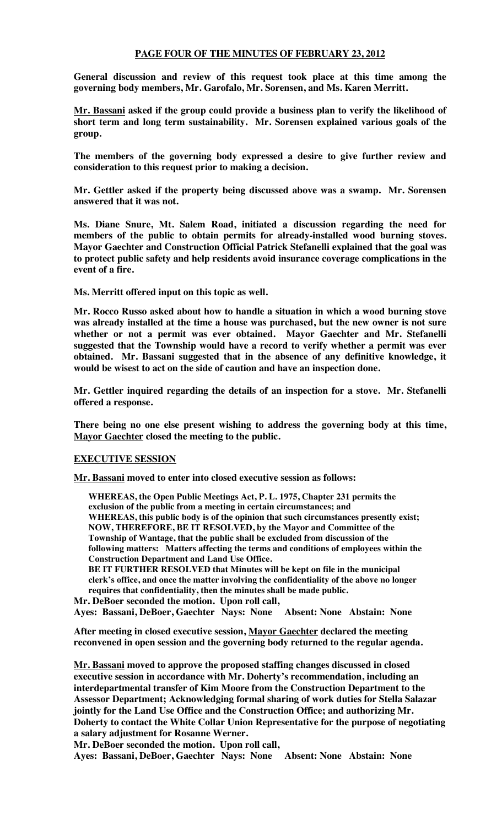## **PAGE FOUR OF THE MINUTES OF FEBRUARY 23, 2012**

**General discussion and review of this request took place at this time among the governing body members, Mr. Garofalo, Mr. Sorensen, and Ms. Karen Merritt.**

**Mr. Bassani asked if the group could provide a business plan to verify the likelihood of short term and long term sustainability. Mr. Sorensen explained various goals of the group.**

**The members of the governing body expressed a desire to give further review and consideration to this request prior to making a decision.**

**Mr. Gettler asked if the property being discussed above was a swamp. Mr. Sorensen answered that it was not.**

**Ms. Diane Snure, Mt. Salem Road, initiated a discussion regarding the need for members of the public to obtain permits for already-installed wood burning stoves. Mayor Gaechter and Construction Official Patrick Stefanelli explained that the goal was to protect public safety and help residents avoid insurance coverage complications in the event of a fire.**

**Ms. Merritt offered input on this topic as well.**

**Mr. Rocco Russo asked about how to handle a situation in which a wood burning stove was already installed at the time a house was purchased, but the new owner is not sure whether or not a permit was ever obtained. Mayor Gaechter and Mr. Stefanelli suggested that the Township would have a record to verify whether a permit was ever obtained. Mr. Bassani suggested that in the absence of any definitive knowledge, it would be wisest to act on the side of caution and have an inspection done.**

**Mr. Gettler inquired regarding the details of an inspection for a stove. Mr. Stefanelli offered a response.**

**There being no one else present wishing to address the governing body at this time, Mayor Gaechter closed the meeting to the public.**

## **EXECUTIVE SESSION**

**Mr. Bassani moved to enter into closed executive session as follows:**

**WHEREAS, the Open Public Meetings Act, P. L. 1975, Chapter 231 permits the exclusion of the public from a meeting in certain circumstances; and WHEREAS, this public body is of the opinion that such circumstances presently exist; NOW, THEREFORE, BE IT RESOLVED, by the Mayor and Committee of the Township of Wantage, that the public shall be excluded from discussion of the following matters: Matters affecting the terms and conditions of employees within the Construction Department and Land Use Office.**

**BE IT FURTHER RESOLVED that Minutes will be kept on file in the municipal clerk's office, and once the matter involving the confidentiality of the above no longer requires that confidentiality, then the minutes shall be made public.**

**Mr. DeBoer seconded the motion. Upon roll call,**

**Ayes: Bassani, DeBoer, Gaechter Nays: None Absent: None Abstain: None**

**After meeting in closed executive session, Mayor Gaechter declared the meeting reconvened in open session and the governing body returned to the regular agenda.**

**Mr. Bassani moved to approve the proposed staffing changes discussed in closed executive session in accordance with Mr. Doherty's recommendation, including an interdepartmental transfer of Kim Moore from the Construction Department to the Assessor Department; Acknowledging formal sharing of work duties for Stella Salazar jointly for the Land Use Office and the Construction Office; and authorizing Mr. Doherty to contact the White Collar Union Representative for the purpose of negotiating a salary adjustment for Rosanne Werner.**

**Mr. DeBoer seconded the motion. Upon roll call,**

**Ayes: Bassani, DeBoer, Gaechter Nays: None Absent: None Abstain: None**